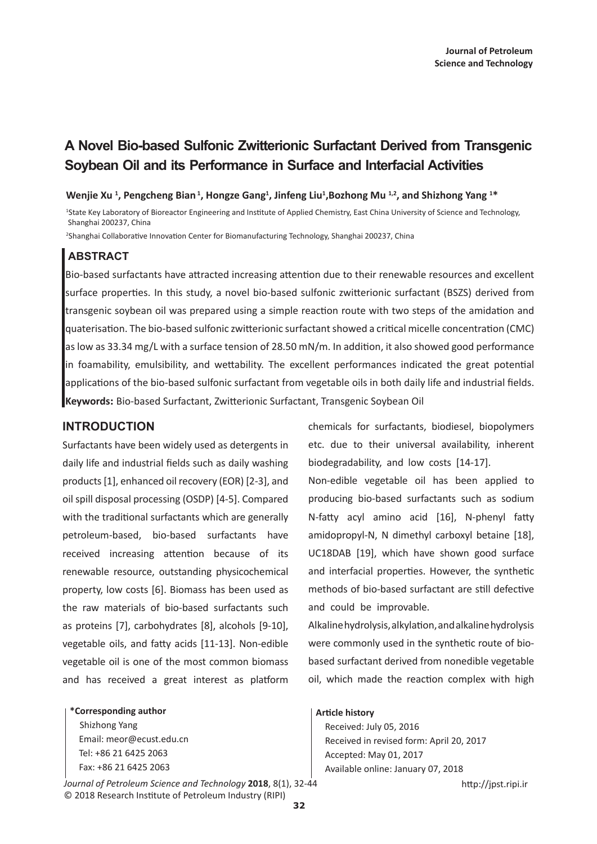# **A Novel Bio-based Sulfonic Zwitterionic Surfactant Derived from Transgenic Soybean Oil and its Performance in Surface and Interfacial Activities**

#### Wenjie Xu<sup>1</sup>, Pengcheng Bian<sup>1</sup>, Hongze Gang<sup>1</sup>, Jinfeng Liu<sup>1</sup>,Bozhong Mu<sup>1,2</sup>, and Shizhong Yang <sup>1\*</sup>

<sup>1</sup>State Key Laboratory of Bioreactor Engineering and Institute of Applied Chemistry, East China University of Science and Technology, Shanghai 200237, China

2 Shanghai Collaborative Innovation Center for Biomanufacturing Technology, Shanghai 200237, China

## **ABSTRACT**

Bio-based surfactants have attracted increasing attention due to their renewable resources and excellent surface properties. In this study, a novel bio-based sulfonic zwitterionic surfactant (BSZS) derived from transgenic soybean oil was prepared using a simple reaction route with two steps of the amidation and quaterisation. The bio-based sulfonic zwitterionic surfactant showed a critical micelle concentration (CMC) as low as 33.34 mg/L with a surface tension of 28.50 mN/m. In addition, it also showed good performance in foamability, emulsibility, and wettability. The excellent performances indicated the great potential applications of the bio-based sulfonic surfactant from vegetable oils in both daily life and industrial fields. **Keywords:** Bio-based Surfactant, Zwitterionic Surfactant, Transgenic Soybean Oil

### **INTRODUCTION**

Surfactants have been widely used as detergents in daily life and industrial fields such as daily washing products [1], enhanced oil recovery (EOR) [2-3], and oil spill disposal processing (OSDP) [4-5]. Compared with the traditional surfactants which are generally petroleum-based, bio-based surfactants have received increasing attention because of its renewable resource, outstanding physicochemical property, low costs [6]. Biomass has been used as the raw materials of bio-based surfactants such as proteins [7], carbohydrates [8], alcohols [9-10], vegetable oils, and fatty acids [11-13]. Non-edible vegetable oil is one of the most common biomass and has received a great interest as platform

**\*Corresponding author**

 Shizhong Yang Email: meor@ecust.edu.cn Tel: +86 21 6425 2063 Fax: +86 21 6425 2063

*Journal of Petroleum Science and Technology* 2018, 8(1), 32-44 http://jpst.ripi.ir © 2018 Research Institute of Petroleum Industry (RIPI)

chemicals for surfactants, biodiesel, biopolymers etc. due to their universal availability, inherent biodegradability, and low costs [14-17].

Non-edible vegetable oil has been applied to producing bio-based surfactants such as sodium N-fatty acyl amino acid [16], N-phenyl fatty amidopropyl-N, N dimethyl carboxyl betaine [18], UC18DAB [19], which have shown good surface and interfacial properties. However, the synthetic methods of bio-based surfactant are still defective and could be improvable.

Alkaline hydrolysis, alkylation, and alkaline hydrolysis were commonly used in the synthetic route of biobased surfactant derived from nonedible vegetable oil, which made the reaction complex with high

#### **Article history**

 Received: July 05, 2016 Received in revised form: April 20, 2017 Accepted: May 01, 2017 Available online: January 07, 2018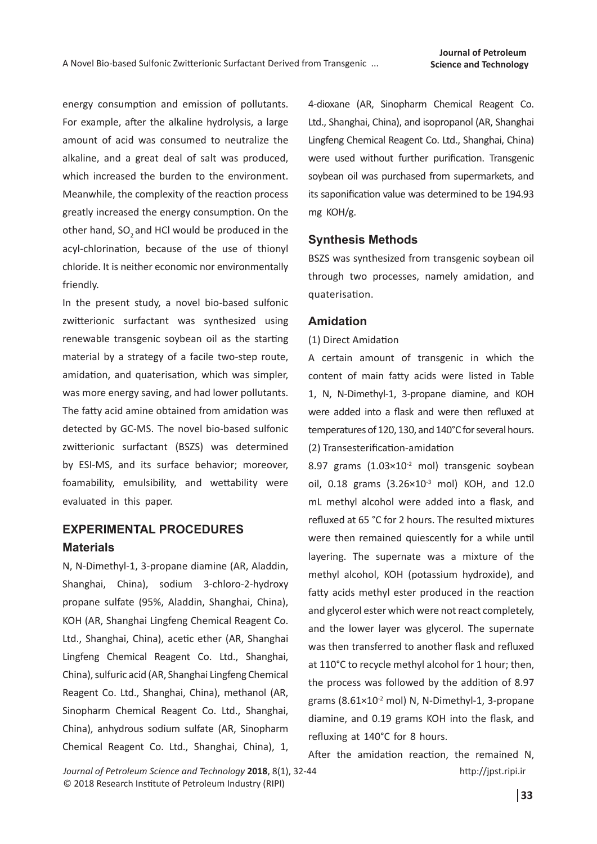energy consumption and emission of pollutants. For example, after the alkaline hydrolysis, a large amount of acid was consumed to neutralize the alkaline, and a great deal of salt was produced, which increased the burden to the environment. Meanwhile, the complexity of the reaction process greatly increased the energy consumption. On the other hand, SO<sub>2</sub> and HCl would be produced in the acyl-chlorination, because of the use of thionyl chloride. It is neither economic nor environmentally friendly.

In the present study, a novel bio-based sulfonic zwitterionic surfactant was synthesized using renewable transgenic soybean oil as the starting material by a strategy of a facile two-step route, amidation, and quaterisation, which was simpler, was more energy saving, and had lower pollutants. The fatty acid amine obtained from amidation was detected by GC-MS. The novel bio-based sulfonic zwitterionic surfactant (BSZS) was determined by ESI-MS, and its surface behavior; moreover, foamability, emulsibility, and wettability were evaluated in this paper.

## **EXPERIMENTAL PROCEDURES Materials**

N, N-Dimethyl-1, 3-propane diamine (AR, Aladdin, Shanghai, China), sodium 3-chloro-2-hydroxy propane sulfate (95%, Aladdin, Shanghai, China), KOH (AR, Shanghai Lingfeng Chemical Reagent Co. Ltd., Shanghai, China), acetic ether (AR, Shanghai Lingfeng Chemical Reagent Co. Ltd., Shanghai, China), sulfuric acid (AR, Shanghai Lingfeng Chemical Reagent Co. Ltd., Shanghai, China), methanol (AR, Sinopharm Chemical Reagent Co. Ltd., Shanghai, China), anhydrous sodium sulfate (AR, Sinopharm Chemical Reagent Co. Ltd., Shanghai, China), 1, 4-dioxane (AR, Sinopharm Chemical Reagent Co. Ltd., Shanghai, China), and isopropanol (AR, Shanghai Lingfeng Chemical Reagent Co. Ltd., Shanghai, China) were used without further purification. Transgenic soybean oil was purchased from supermarkets, and its saponification value was determined to be 194.93 mg KOH/g.

#### **Synthesis Methods**

BSZS was synthesized from transgenic soybean oil through two processes, namely amidation, and quaterisation.

#### **Amidation**

#### (1) Direct Amidation

A certain amount of transgenic in which the content of main fatty acids were listed in Table 1, N, N-Dimethyl-1, 3-propane diamine, and KOH were added into a flask and were then refluxed at temperatures of 120, 130, and 140°C for several hours. (2) Transesterification-amidation

8.97 grams  $(1.03\times10^{-2} \text{ mol})$  transgenic soybean oil, 0.18 grams  $(3.26 \times 10^{-3} \text{ mol})$  KOH, and 12.0 mL methyl alcohol were added into a flask, and refluxed at 65 °C for 2 hours. The resulted mixtures were then remained quiescently for a while until layering. The supernate was a mixture of the methyl alcohol, KOH (potassium hydroxide), and fatty acids methyl ester produced in the reaction and glycerol ester which were not react completely, and the lower layer was glycerol. The supernate was then transferred to another flask and refluxed at 110°C to recycle methyl alcohol for 1 hour; then, the process was followed by the addition of 8.97 grams  $(8.61\times10^{-2} \text{ mol})$  N, N-Dimethyl-1, 3-propane diamine, and 0.19 grams KOH into the flask, and refluxing at 140°C for 8 hours.

*Journal of Petroleum Science and Technology* **2018**, 8(1), 32-44 © 2018 Research Institute of Petroleum Industry (RIPI)

After the amidation reaction, the remained N,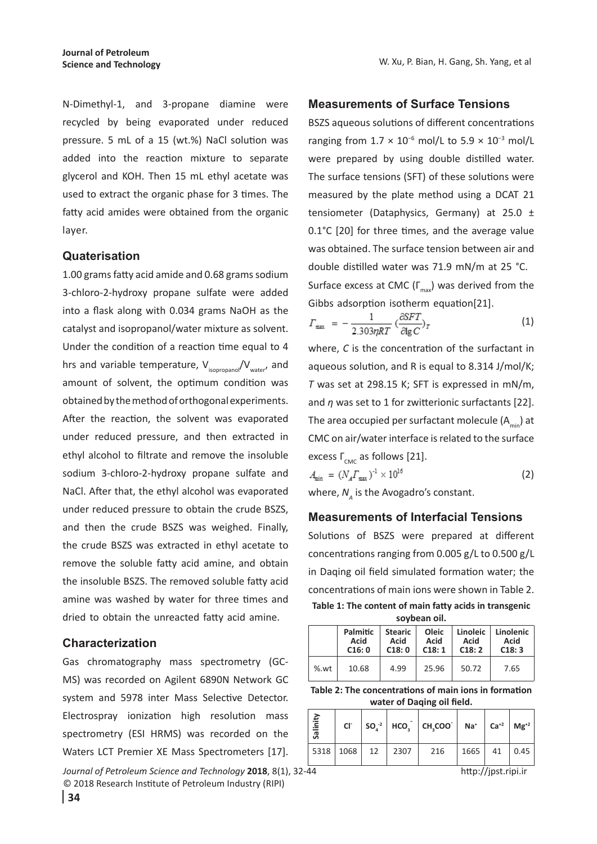N-Dimethyl-1, and 3-propane diamine were recycled by being evaporated under reduced pressure. 5 mL of a 15 (wt.%) NaCl solution was added into the reaction mixture to separate glycerol and KOH. Then 15 mL ethyl acetate was used to extract the organic phase for 3 times. The fatty acid amides were obtained from the organic layer.

#### **Quaterisation**

1.00 grams fatty acid amide and 0.68 grams sodium 3-chloro-2-hydroxy propane sulfate were added into a flask along with 0.034 grams NaOH as the catalyst and isopropanol/water mixture as solvent. Under the condition of a reaction time equal to 4 hrs and variable temperature,  $V_{isopropanol}/V_{water}$ , and amount of solvent, the optimum condition was obtained by the method of orthogonal experiments. After the reaction, the solvent was evaporated under reduced pressure, and then extracted in ethyl alcohol to filtrate and remove the insoluble sodium 3-chloro-2-hydroxy propane sulfate and NaCl. After that, the ethyl alcohol was evaporated under reduced pressure to obtain the crude BSZS, and then the crude BSZS was weighed. Finally, the crude BSZS was extracted in ethyl acetate to remove the soluble fatty acid amine, and obtain the insoluble BSZS. The removed soluble fatty acid amine was washed by water for three times and dried to obtain the unreacted fatty acid amine.

#### **Characterization**

Gas chromatography mass spectrometry (GC-MS) was recorded on Agilent 6890N Network GC system and 5978 inter Mass Selective Detector. Electrospray ionization high resolution mass spectrometry (ESI HRMS) was recorded on the Waters LCT Premier XE Mass Spectrometers [17].

*Journal of Petroleum Science and Technology* **2018**, 8(1), 32-44 © 2018 Research Institute of Petroleum Industry (RIPI)

#### **Measurements of Surface Tensions**

BSZS aqueous solutions of different concentrations ranging from  $1.7 \times 10^{-6}$  mol/L to  $5.9 \times 10^{-3}$  mol/L were prepared by using double distilled water. The surface tensions (SFT) of these solutions were measured by the plate method using a DCAT 21 tensiometer (Dataphysics, Germany) at 25.0  $\pm$ 0.1°C [20] for three times, and the average value was obtained. The surface tension between air and double distilled water was 71.9 mN/m at 25 °C. Surface excess at CMC ( $\Gamma_{\text{max}}$ ) was derived from the Gibbs adsorption isotherm equation[21].

$$
T_{\text{max}} = -\frac{1}{2.303\eta RT} \left(\frac{\partial SFT}{\partial \lg C}\right)_T \tag{1}
$$

where, *C* is the concentration of the surfactant in aqueous solution, and R is equal to 8.314 J/mol/K; *T* was set at 298.15 K; SFT is expressed in mN/m, and *η* was set to 1 for zwitterionic surfactants [22]. The area occupied per surfactant molecule  $(A_{min})$  at CMC on air/water interface is related to the surface excess  $\Gamma_{\text{CMC}}$  as follows [21].

$$
A_{\min} = (N_A \Gamma_{\max})^{-1} \times 10^{16}
$$
 (2)  
where,  $N_A$  is the Avogadro's constant.

#### **Measurements of Interfacial Tensions**

Solutions of BSZS were prepared at different concentrations ranging from 0.005 g/L to 0.500 g/L in Daqing oil field simulated formation water; the concentrations of main ions were shown in Table 2. **Table 1: The content of main fatty acids in transgenic soybean oil.**

|     | Palmitic<br>Acid<br>C16:0 | <b>Stearic</b><br>Acid<br>C18:0 | Oleic<br>Acid<br>C18:1 | Linoleic<br>Acid<br>C18:2 | Linolenic<br>Acid<br>C18:3 |
|-----|---------------------------|---------------------------------|------------------------|---------------------------|----------------------------|
| %wt | 10.68                     | 4.99                            | 25.96                  | 50.72                     | 7.65                       |

**Table 2: The concentrations of main ions in formation water of Daqing oil field.**

| €<br>圖<br><b>S</b> a |                         |  | Cl $\left  SO^{-2} \right  HCO_2^-$ CH, COO $\left  Na^+ \right  Ca^{+2}$ $Mg^{+2}$ |                |  |
|----------------------|-------------------------|--|-------------------------------------------------------------------------------------|----------------|--|
|                      | 5318   1068   12   2307 |  | 216                                                                                 | $1665$ 41 0.45 |  |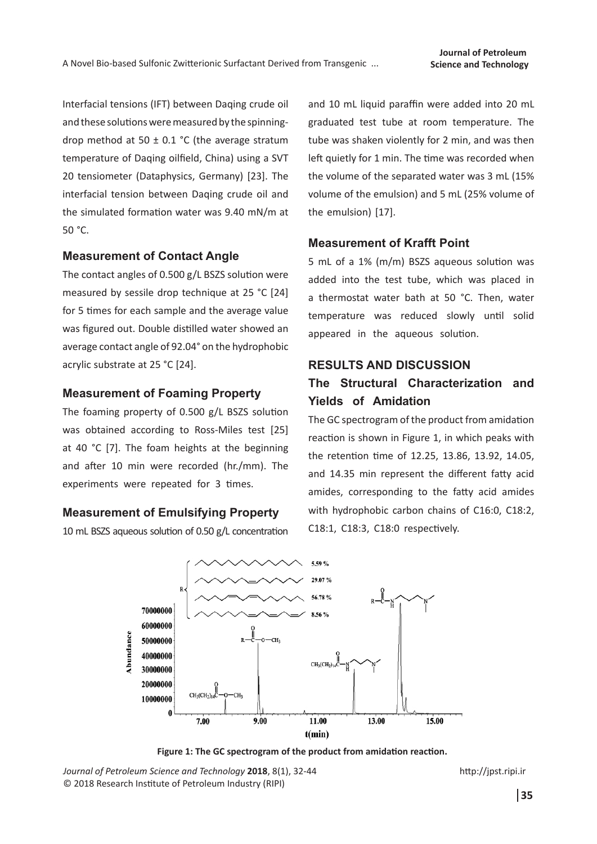Interfacial tensions (IFT) between Daqing crude oil and these solutions were measured by the spinningdrop method at 50  $\pm$  0.1 °C (the average stratum temperature of Daqing oilfield, China) using a SVT 20 tensiometer (Dataphysics, Germany) [23]. The interfacial tension between Daqing crude oil and the simulated formation water was 9.40 mN/m at 50 °C.

### **Measurement of Contact Angle**

The contact angles of 0.500 g/L BSZS solution were measured by sessile drop technique at 25 °C [24] for 5 times for each sample and the average value was figured out. Double distilled water showed an average contact angle of 92.04° on the hydrophobic acrylic substrate at 25 °C [24].

#### **Measurement of Foaming Property**

The foaming property of 0.500 g/L BSZS solution was obtained according to Ross-Miles test [25] at 40 °C [7]. The foam heights at the beginning and after 10 min were recorded (hr./mm). The experiments were repeated for 3 times.

### **Measurement of Emulsifying Property**

10 mL BSZS aqueous solution of 0.50 g/L concentration

and 10 mL liquid paraffin were added into 20 mL graduated test tube at room temperature. The tube was shaken violently for 2 min, and was then left quietly for 1 min. The time was recorded when the volume of the separated water was 3 mL (15% volume of the emulsion) and 5 mL (25% volume of the emulsion) [17].

#### **Measurement of Krafft Point**

5 mL of a 1% (m/m) BSZS aqueous solution was added into the test tube, which was placed in a thermostat water bath at 50 °C. Then, water temperature was reduced slowly until solid appeared in the aqueous solution.

#### **RESULTS AND DISCUSSION**

## **The Structural Characterization and Yields of Amidation**

The GC spectrogram of the product from amidation reaction is shown in Figure 1, in which peaks with the retention time of 12.25, 13.86, 13.92, 14.05, and 14.35 min represent the different fatty acid amides, corresponding to the fatty acid amides with hydrophobic carbon chains of C16:0, C18:2, C18:1, C18:3, C18:0 respectively.



**Figure 1: The GC spectrogram of the product from amidation reaction.**

*Journal of Petroleum Science and Technology* **2018**, 8(1), 32-44 © 2018 Research Institute of Petroleum Industry (RIPI)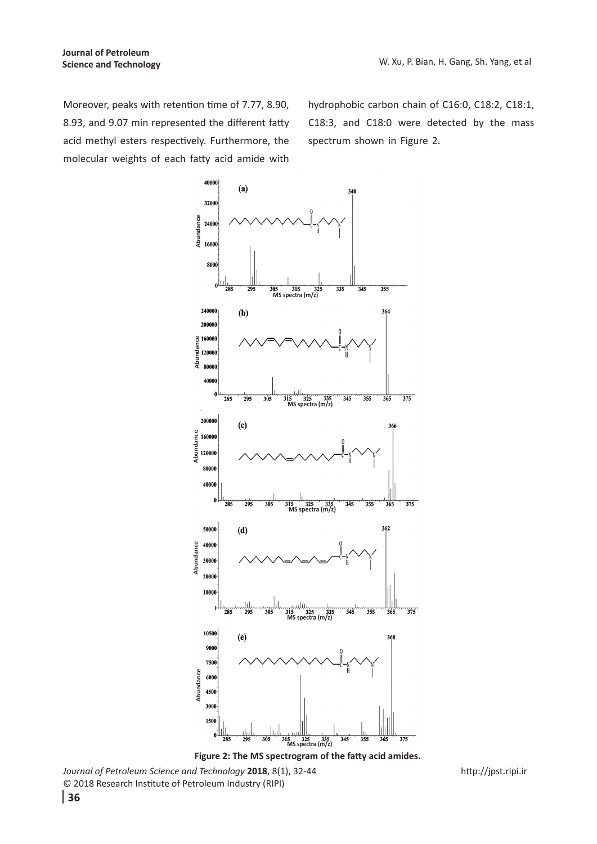Moreover, peaks with retention time of 7.77, 8.90, 8.93, and 9.07 min represented the different fatty acid methyl esters respectively. Furthermore, the molecular weights of each fatty acid amide with

hydrophobic carbon chain of C16:0, C18:2, C18:1, C18:3, and C18:0 were detected by the mass spectrum shown in Figure 2.



*Journal of Petroleum Science and Technology* **2018**, 8(1), 32-44 © 2018 Research Institute of Petroleum Industry (RIPI)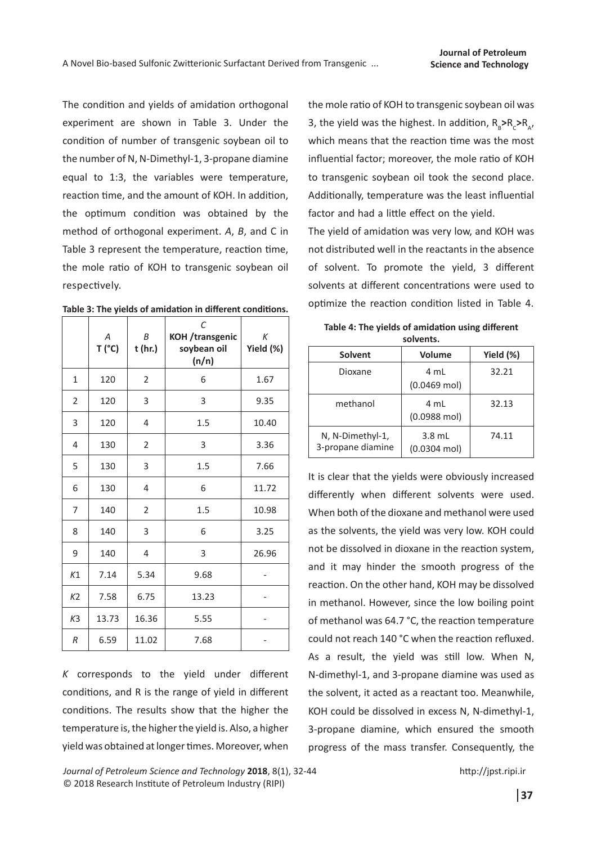The condition and yields of amidation orthogonal experiment are shown in Table 3. Under the condition of number of transgenic soybean oil to the number of N, N-Dimethyl-1, 3-propane diamine equal to 1:3, the variables were temperature, reaction time, and the amount of KOH. In addition, the optimum condition was obtained by the method of orthogonal experiment. *A*, *B*, and C in Table 3 represent the temperature, reaction time, the mole ratio of KOH to transgenic soybean oil respectively.

|  |  | Table 3: The yields of amidation in different conditions. |  |  |
|--|--|-----------------------------------------------------------|--|--|
|--|--|-----------------------------------------------------------|--|--|

|                | A<br>T('C) | B<br>t (hr.)   | C<br><b>KOH</b> /transgenic<br>soybean oil<br>(n/n) | K<br>Yield (%) |
|----------------|------------|----------------|-----------------------------------------------------|----------------|
| $\mathbf{1}$   | 120        | 2              | 6                                                   | 1.67           |
| 2              | 120        | 3              | 3                                                   | 9.35           |
| 3              | 120        | 4              | 1.5                                                 | 10.40          |
| 4              | 130        | 2              | 3                                                   | 3.36           |
| 5              | 130        | 3              | 1.5                                                 | 7.66           |
| 6              | 130        | 4              | 6                                                   | 11.72          |
| 7              | 140        | $\overline{2}$ | 1.5                                                 | 10.98          |
| 8              | 140        | 3              | 6                                                   | 3.25           |
| 9              | 140        | 4              | 3                                                   | 26.96          |
| K1             | 7.14       | 5.34           | 9.68                                                |                |
| K <sub>2</sub> | 7.58       | 6.75           | 13.23                                               |                |
| K3             | 13.73      | 16.36          | 5.55                                                |                |
| R              | 6.59       | 11.02          | 7.68                                                |                |

*K* corresponds to the yield under different conditions, and R is the range of yield in different conditions. The results show that the higher the temperature is, the higher the yield is. Also, a higher yield was obtained at longer times. Moreover, when

the mole ratio of KOH to transgenic soybean oil was 3, the yield was the highest. In addition,  $R_{B} > R_{C} > R_{A}$ , which means that the reaction time was the most influential factor; moreover, the mole ratio of KOH to transgenic soybean oil took the second place. Additionally, temperature was the least influential factor and had a little effect on the yield.

The yield of amidation was very low, and KOH was not distributed well in the reactants in the absence of solvent. To promote the yield, 3 different solvents at different concentrations were used to optimize the reaction condition listed in Table 4.

| solvents.                             |                                    |           |  |  |
|---------------------------------------|------------------------------------|-----------|--|--|
| Solvent                               | Volume                             | Yield (%) |  |  |
| Dioxane                               | 4 mL<br>$(0.0469$ mol)             | 32.21     |  |  |
| methanol                              | 4 mL<br>$(0.0988 \text{ mol})$     | 32.13     |  |  |
| N, N-Dimethyl-1,<br>3-propane diamine | $3.8$ mL<br>$(0.0304 \text{ mol})$ | 74.11     |  |  |

**Table 4: The yields of amidation using different solvents.** 

It is clear that the yields were obviously increased differently when different solvents were used. When both of the dioxane and methanol were used as the solvents, the yield was very low. KOH could not be dissolved in dioxane in the reaction system, and it may hinder the smooth progress of the reaction. On the other hand, KOH may be dissolved in methanol. However, since the low boiling point of methanol was 64.7 °C, the reaction temperature could not reach 140 °C when the reaction refluxed. As a result, the yield was still low. When N, N-dimethyl-1, and 3-propane diamine was used as the solvent, it acted as a reactant too. Meanwhile, KOH could be dissolved in excess N, N-dimethyl-1, 3-propane diamine, which ensured the smooth progress of the mass transfer. Consequently, the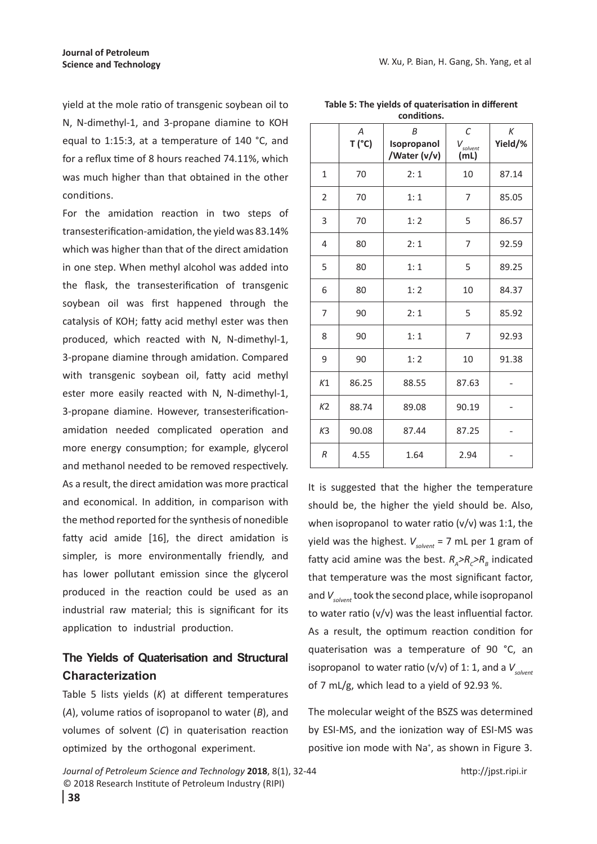yield at the mole ratio of transgenic soybean oil to N, N-dimethyl-1, and 3-propane diamine to KOH equal to 1:15:3, at a temperature of 140 °C, and for a reflux time of 8 hours reached 74.11%, which was much higher than that obtained in the other conditions.

For the amidation reaction in two steps of transesterification-amidation, the yield was 83.14% which was higher than that of the direct amidation in one step. When methyl alcohol was added into the flask, the transesterification of transgenic soybean oil was first happened through the catalysis of KOH; fatty acid methyl ester was then produced, which reacted with N, N-dimethyl-1, 3-propane diamine through amidation. Compared with transgenic soybean oil, fatty acid methyl ester more easily reacted with N, N-dimethyl-1, 3-propane diamine. However, transesterificationamidation needed complicated operation and more energy consumption; for example, glycerol and methanol needed to be removed respectively. As a result, the direct amidation was more practical and economical. In addition, in comparison with the method reported for the synthesis of nonedible fatty acid amide [16], the direct amidation is simpler, is more environmentally friendly, and has lower pollutant emission since the glycerol produced in the reaction could be used as an industrial raw material; this is significant for its application to industrial production.

## **The Yields of Quaterisation and Structural Characterization**

Table 5 lists yields (*K*) at different temperatures (*A*), volume ratios of isopropanol to water (*B*), and volumes of solvent (*C*) in quaterisation reaction optimized by the orthogonal experiment.

|                | A<br>T('C) | B<br>Isopropanol<br>/Water (v/v) | C<br>$V_{\text{solvent}}$<br>(mL) | К<br>Yield/% |
|----------------|------------|----------------------------------|-----------------------------------|--------------|
| $\mathbf{1}$   | 70         | 2:1                              | 10                                | 87.14        |
| $\overline{2}$ | 70         | 1:1                              | 7                                 | 85.05        |
| 3              | 70         | 1:2                              | 5                                 | 86.57        |
| 4              | 80         | 2:1                              | 7                                 | 92.59        |
| 5              | 80         | 1:1                              | 5                                 | 89.25        |
| 6              | 80         | 1:2                              | 10                                | 84.37        |
| 7              | 90         | 2:1                              | 5                                 | 85.92        |
| 8              | 90         | 1:1                              | 7                                 | 92.93        |
| 9              | 90         | 1:2                              | 10                                | 91.38        |
| K1             | 86.25      | 88.55                            | 87.63                             |              |
| K <sub>2</sub> | 88.74      | 89.08                            | 90.19                             |              |
| K <sub>3</sub> | 90.08      | 87.44                            | 87.25                             |              |
| R              | 4.55       | 1.64                             | 2.94                              |              |

**Table 5: The yields of quaterisation in different conditions.**

It is suggested that the higher the temperature should be, the higher the yield should be. Also, when isopropanol to water ratio  $(v/v)$  was 1:1, the yield was the highest.  $V_{solvent}$  = 7 mL per 1 gram of fatty acid amine was the best.  $R_A > R_C > R_B$  indicated that temperature was the most significant factor, and  $V_{solvent}$  took the second place, while isopropanol to water ratio (v/v) was the least influential factor. As a result, the optimum reaction condition for quaterisation was a temperature of 90 °C, an isopropanol to water ratio (v/v) of 1: 1, and a  $V_{solvent}$ of 7 mL/g, which lead to a yield of 92.93 %.

The molecular weight of the BSZS was determined by ESI-MS, and the ionization way of ESI-MS was positive ion mode with Na<sup>+</sup>, as shown in Figure 3.

*Journal of Petroleum Science and Technology* **2018**, 8(1), 32-44 © 2018 Research Institute of Petroleum Industry (RIPI)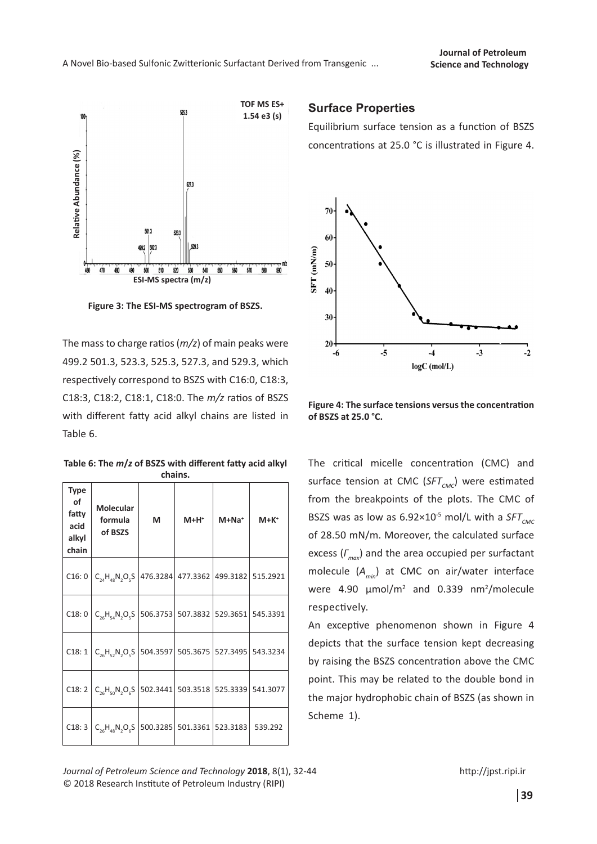

**Figure 3: The ESI-MS spectrogram of BSZS.**

The mass to charge ratios (*m/z*) of main peaks were 499.2 501.3, 523.3, 525.3, 527.3, and 529.3, which respectively correspond to BSZS with C16:0, C18:3, C18:3, C18:2, C18:1, C18:0. The *m/z* ratios of BSZS with different fatty acid alkyl chains are listed in Table 6.

**Table 6: The** *m***/***z* **of BSZS with different fatty acid alkyl chains.**

| Type<br>of<br>fatty<br>acid<br>alkyl<br>chain | Molecular<br>formula<br>of BSZS                                                                               | M | $M+H^+$ | $M+Na+$ | $M + K^+$ |
|-----------------------------------------------|---------------------------------------------------------------------------------------------------------------|---|---------|---------|-----------|
| C16:0                                         | $ C_{24}H_{48}N_2O_5S $ 476.3284 477.3362 499.3182 515.2921                                                   |   |         |         |           |
| C18:0                                         | $\mid$ C <sub>26</sub> H <sub>54</sub> N <sub>2</sub> O <sub>5</sub> S  506.3753 507.3832  529.3651  545.3391 |   |         |         |           |
| C18:1                                         | $ C_{26}H_{52}N_2O_5S $ 504.3597   505.3675   527.3495   543.3234                                             |   |         |         |           |
| C18:2                                         | $ C_{26}H_{50}N_2O_6S $ 502.3441 503.3518 525.3339 541.3077                                                   |   |         |         |           |
| C18:3                                         | $\mid$ C <sub>26</sub> H <sub>48</sub> N <sub>2</sub> O <sub>6</sub> S  500.3285   501.3361  523.3183         |   |         |         | 539.292   |

### **Surface Properties**

Equilibrium surface tension as a function of BSZS concentrations at 25.0 °C is illustrated in Figure 4.



**Figure 4: The surface tensions versus the concentration of BSZS at 25.0 °C.**

The critical micelle concentration (CMC) and surface tension at CMC (SFT<sub>CMC</sub>) were estimated from the breakpoints of the plots. The CMC of BSZS was as low as  $6.92 \times 10^{-5}$  mol/L with a  $SFT<sub>CMC</sub>$ of 28.50 mN/m. Moreover, the calculated surface excess (*Γmax*) and the area occupied per surfactant molecule (*Amin*) at CMC on air/water interface were  $4.90 \mu \text{mol/m}^2$  and 0.339 nm<sup>2</sup>/molecule respectively.

An exceptive phenomenon shown in Figure 4 depicts that the surface tension kept decreasing by raising the BSZS concentration above the CMC point. This may be related to the double bond in the major hydrophobic chain of BSZS (as shown in Scheme 1).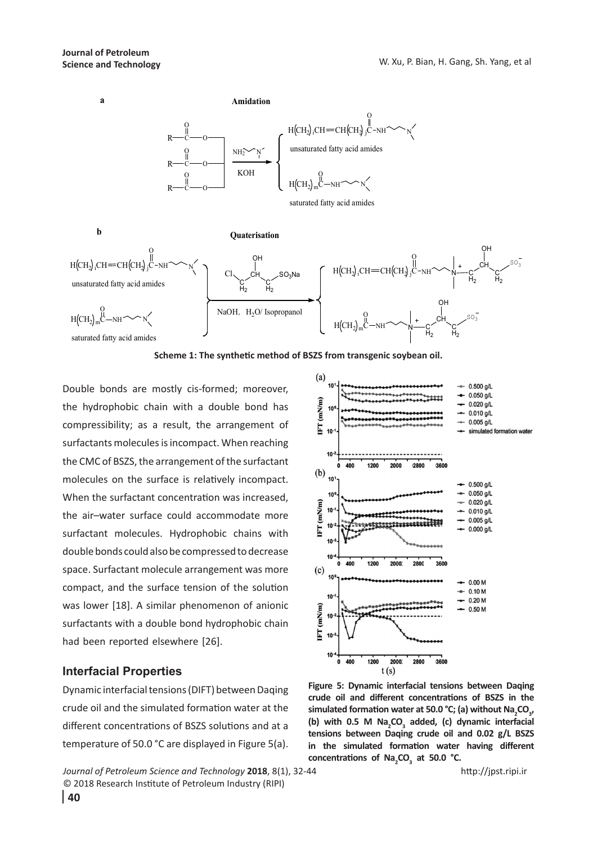

**Scheme 1: The synthetic method of BSZS from transgenic soybean oil.**

Double bonds are mostly cis-formed; moreover, the hydrophobic chain with a double bond has compressibility; as a result, the arrangement of surfactants molecules is incompact. When reaching the CMC of BSZS, the arrangement of the surfactant molecules on the surface is relatively incompact. When the surfactant concentration was increased, the air–water surface could accommodate more surfactant molecules. Hydrophobic chains with double bonds could also be compressed to decrease space. Surfactant molecule arrangement was more compact, and the surface tension of the solution was lower [18]. A similar phenomenon of anionic surfactants with a double bond hydrophobic chain had been reported elsewhere [26].

### **Interfacial Properties**

Dynamic interfacial tensions (DIFT) between Daqing crude oil and the simulated formation water at the different concentrations of BSZS solutions and at a temperature of 50.0 °C are displayed in Figure 5(a).

*Journal of Petroleum Science and Technology* **2018**, 8(1), 32-44 © 2018 Research Institute of Petroleum Industry (RIPI)



**Figure 5: Dynamic interfacial tensions between Daqing crude oil and different concentrations of BSZS in the**  simulated formation water at 50.0 °C; (a) without Na<sub>2</sub>CO<sub>3</sub>, (b) with 0.5 M Na<sub>2</sub>CO<sub>3</sub> added, (c) dynamic interfacial **tensions between Daqing crude oil and 0.02 g/L BSZS in the simulated formation water having different**  concentrations of Na<sub>2</sub>CO<sub>3</sub> at 50.0 °C.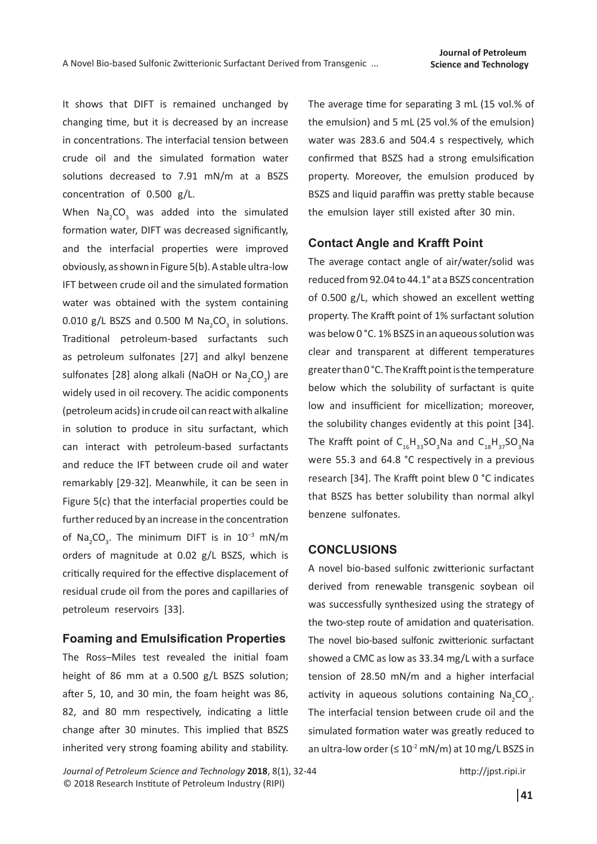It shows that DIFT is remained unchanged by changing time, but it is decreased by an increase in concentrations. The interfacial tension between crude oil and the simulated formation water solutions decreased to 7.91 mN/m at a BSZS concentration of 0.500 g/L.

When  $\textsf{Na}_2\textsf{CO}_3$  was added into the simulated formation water, DIFT was decreased significantly, and the interfacial properties were improved obviously, as shown in Figure 5(b). A stable ultra-low IFT between crude oil and the simulated formation water was obtained with the system containing 0.010 g/L BSZS and 0.500 M  $\text{Na}_2\text{CO}_3$  in solutions. Traditional petroleum-based surfactants such as petroleum sulfonates [27] and alkyl benzene sulfonates [28] along alkali (NaOH or Na<sub>2</sub>CO<sub>3</sub>) are widely used in oil recovery. The acidic components (petroleum acids) in crude oil can react with alkaline in solution to produce in situ surfactant, which can interact with petroleum-based surfactants and reduce the IFT between crude oil and water remarkably [29-32]. Meanwhile, it can be seen in Figure 5(c) that the interfacial properties could be further reduced by an increase in the concentration of Na<sub>2</sub>CO<sub>3</sub>. The minimum DIFT is in 10<sup>−3</sup> mN/m orders of magnitude at 0.02 g/L BSZS, which is critically required for the effective displacement of residual crude oil from the pores and capillaries of petroleum reservoirs [33].

#### **Foaming and Emulsification Properties**

The Ross–Miles test revealed the initial foam height of 86 mm at a 0.500 g/L BSZS solution; after 5, 10, and 30 min, the foam height was 86, 82, and 80 mm respectively, indicating a little change after 30 minutes. This implied that BSZS inherited very strong foaming ability and stability.

The average time for separating 3 mL (15 vol.% of the emulsion) and 5 mL (25 vol.% of the emulsion) water was 283.6 and 504.4 s respectively, which confirmed that BSZS had a strong emulsification property. Moreover, the emulsion produced by BSZS and liquid paraffin was pretty stable because the emulsion layer still existed after 30 min.

#### **Contact Angle and Krafft Point**

The average contact angle of air/water/solid was reduced from 92.04 to 44.1° at a BSZS concentration of 0.500 g/L, which showed an excellent wetting property. The Krafft point of 1% surfactant solution was below 0 °C. 1% BSZS in an aqueous solution was clear and transparent at different temperatures greater than 0 °C. The Krafft point is the temperature below which the solubility of surfactant is quite low and insufficient for micellization; moreover, the solubility changes evidently at this point [34]. The Krafft point of  $C_{16}H_{33}SO_3$ Na and  $C_{18}H_{37}SO_3$ Na were 55.3 and 64.8 °C respectively in a previous research [34]. The Krafft point blew 0 °C indicates that BSZS has better solubility than normal alkyl benzene sulfonates.

#### **CONCLUSIONS**

A novel bio-based sulfonic zwitterionic surfactant derived from renewable transgenic soybean oil was successfully synthesized using the strategy of the two-step route of amidation and quaterisation. The novel bio-based sulfonic zwitterionic surfactant showed a CMC as low as 33.34 mg/L with a surface tension of 28.50 mN/m and a higher interfacial activity in aqueous solutions containing  $\text{Na}_2\text{CO}_3$ . The interfacial tension between crude oil and the simulated formation water was greatly reduced to an ultra-low order ( $\leq 10^{-2}$  mN/m) at 10 mg/L BSZS in

*Journal of Petroleum Science and Technology* **2018**, 8(1), 32-44 © 2018 Research Institute of Petroleum Industry (RIPI)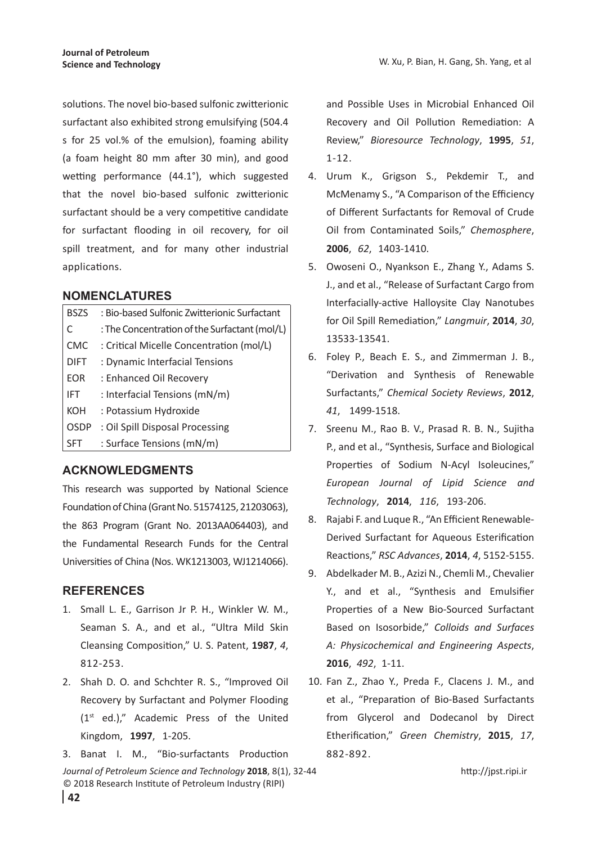W. Xu, P. Bian, H. Gang, Sh. Yang, et al

solutions. The novel bio-based sulfonic zwitterionic surfactant also exhibited strong emulsifying (504.4 s for 25 vol.% of the emulsion), foaming ability (a foam height 80 mm after 30 min), and good wetting performance (44.1°), which suggested that the novel bio-based sulfonic zwitterionic surfactant should be a very competitive candidate for surfactant flooding in oil recovery, for oil spill treatment, and for many other industrial applications.

#### **NOMENCLATURES**

| <b>BSZS</b> | : Bio-based Sulfonic Zwitterionic Surfactant  |
|-------------|-----------------------------------------------|
|             | : The Concentration of the Surfactant (mol/L) |
| <b>CMC</b>  | : Critical Micelle Concentration (mol/L)      |
| <b>DIFT</b> | : Dynamic Interfacial Tensions                |
| <b>EOR</b>  | : Enhanced Oil Recovery                       |
| IFT         | : Interfacial Tensions (mN/m)                 |
| KOH         | : Potassium Hydroxide                         |
| <b>OSDP</b> | : Oil Spill Disposal Processing               |
| SFT         | : Surface Tensions (mN/m)                     |

### **ACKNOWLEDGMENTS**

This research was supported by National Science Foundation of China (Grant No. 51574125, 21203063), the 863 Program (Grant No. 2013AA064403), and the Fundamental Research Funds for the Central Universities of China (Nos. WK1213003, WJ1214066).

## **REFERENCES**

- 1. Small L. E., Garrison Jr P. H., Winkler W. M., Seaman S. A., and et al., "Ultra Mild Skin Cleansing Composition," U. S. Patent, **1987**, *4*, 812-253.
- 2. Shah D. O. and Schchter R. S., "Improved Oil Recovery by Surfactant and Polymer Flooding (1st ed.)," Academic Press of the United Kingdom, **1997**, 1-205.
- 3. Banat I. M., "Bio-surfactants Production
- *Journal of Petroleum Science and Technology* **2018**, 8(1), 32-44 © 2018 Research Institute of Petroleum Industry (RIPI)

and Possible Uses in Microbial Enhanced Oil Recovery and Oil Pollution Remediation: A Review," *Bioresource Technology*, **1995**, *51*, 1-12.

- 4. Urum K., Grigson S., Pekdemir T., and McMenamy S., "A Comparison of the Efficiency of Different Surfactants for Removal of Crude Oil from Contaminated Soils," *Chemosphere*, **2006**, *62*, 1403-1410.
- 5. Owoseni O., Nyankson E., Zhang Y., Adams S. J., and et al., "Release of Surfactant Cargo from Interfacially-active Halloysite Clay Nanotubes for Oil Spill Remediation," *Langmuir*, **2014**, *30*, 13533-13541.
- 6. Foley P., Beach E. S., and Zimmerman J. B., "Derivation and Synthesis of Renewable Surfactants," *Chemical Society Reviews*, **2012**, *41*, 1499-1518.
- 7. Sreenu M., Rao B. V., Prasad R. B. N., Sujitha P., and et al., "Synthesis, Surface and Biological Properties of Sodium N‐Acyl Isoleucines," *European Journal of Lipid Science and Technology*, **2014**, *116*, 193-206.
- 8. Rajabi F. and Luque R., "An Efficient Renewable-Derived Surfactant for Aqueous Esterification Reactions," *RSC Advances*, **2014**, *4*, 5152-5155.
- 9. Abdelkader M. B., Azizi N., Chemli M., Chevalier Y., and et al., "Synthesis and Emulsifier Properties of a New Bio-Sourced Surfactant Based on Isosorbide," *Colloids and Surfaces A: Physicochemical and Engineering Aspects*, **2016**, *492*, 1-11.
- 10. Fan Z., Zhao Y., Preda F., Clacens J. M., and et al., "Preparation of Bio-Based Surfactants from Glycerol and Dodecanol by Direct Etherification," *Green Chemistry*, **2015**, *17*, 882-892.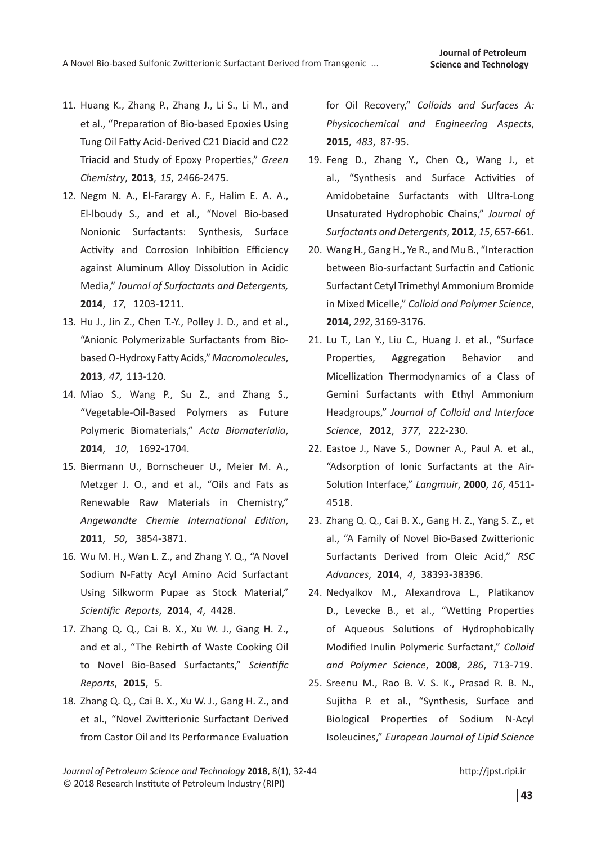- 11. Huang K., Zhang P., Zhang J., Li S., Li M., and et al., "Preparation of Bio-based Epoxies Using Tung Oil Fatty Acid-Derived C21 Diacid and C22 Triacid and Study of Epoxy Properties," *Green Chemistry*, **2013**, *15*, 2466-2475.
- 12. Negm N. A., El-Farargy A. F., Halim E. A. A., El-lboudy S., and et al., "Novel Bio-based Nonionic Surfactants: Synthesis, Surface Activity and Corrosion Inhibition Efficiency against Aluminum Alloy Dissolution in Acidic Media," *Journal of Surfactants and Detergents,* **2014**, *17*, 1203-1211.
- 13. Hu J., Jin Z., Chen T.-Y., Polley J. D., and et al., "Anionic Polymerizable Surfactants from Biobased Ω-Hydroxy Fatty Acids," *Macromolecules*, **2013**, *47,* 113-120.
- 14. Miao S., Wang P., Su Z., and Zhang S., "Vegetable-Oil-Based Polymers as Future Polymeric Biomaterials," *Acta Biomaterialia*, **2014**, *10*, 1692-1704.
- 15. Biermann U., Bornscheuer U., Meier M. A., Metzger J. O., and et al., "Oils and Fats as Renewable Raw Materials in Chemistry," *Angewandte Chemie International Edition*, **2011**, *50*, 3854-3871.
- 16. Wu M. H., Wan L. Z., and Zhang Y. Q., "A Novel Sodium N-Fatty Acyl Amino Acid Surfactant Using Silkworm Pupae as Stock Material," *Scientific Reports*, **2014**, *4*, 4428.
- 17. Zhang Q. Q., Cai B. X., Xu W. J., Gang H. Z., and et al., "The Rebirth of Waste Cooking Oil to Novel Bio-Based Surfactants," *Scientific Reports*, **2015**, 5.
- 18. Zhang Q. Q., Cai B. X., Xu W. J., Gang H. Z., and et al., "Novel Zwitterionic Surfactant Derived from Castor Oil and Its Performance Evaluation

for Oil Recovery," *Colloids and Surfaces A: Physicochemical and Engineering Aspects*, **2015**, *483*, 87-95.

- 19. Feng D., Zhang Y., Chen Q., Wang J., et al., "Synthesis and Surface Activities of Amidobetaine Surfactants with Ultra-Long Unsaturated Hydrophobic Chains," *Journal of Surfactants and Detergents*, **2012**, *15*, 657-661.
- 20. Wang H., Gang H., Ye R., and Mu B., "Interaction between Bio-surfactant Surfactin and Cationic Surfactant Cetyl Trimethyl Ammonium Bromide in Mixed Micelle," *Colloid and Polymer Science*, **2014**, *292*, 3169-3176.
- 21. Lu T., Lan Y., Liu C., Huang J. et al., "Surface Properties, Aggregation Behavior and Micellization Thermodynamics of a Class of Gemini Surfactants with Ethyl Ammonium Headgroups," *Journal of Colloid and Interface Science*, **2012**, *377*, 222-230.
- 22. Eastoe J., Nave S., Downer A., Paul A. et al., "Adsorption of Ionic Surfactants at the Air-Solution Interface," *Langmuir*, **2000**, *16*, 4511- 4518.
- 23. Zhang Q. Q., Cai B. X., Gang H. Z., Yang S. Z., et al., "A Family of Novel Bio-Based Zwitterionic Surfactants Derived from Oleic Acid," *RSC Advances*, **2014**, *4*, 38393-38396.
- 24. Nedyalkov M., Alexandrova L., Platikanov D., Levecke B., et al., "Wetting Properties of Aqueous Solutions of Hydrophobically Modified Inulin Polymeric Surfactant," *Colloid and Polymer Science*, **2008**, *286*, 713-719.
- 25. Sreenu M., Rao B. V. S. K., Prasad R. B. N., Sujitha P. et al., "Synthesis, Surface and Biological Properties of Sodium N-Acyl Isoleucines," *European Journal of Lipid Science*

*Journal of Petroleum Science and Technology* **2018**, 8(1), 32-44 © 2018 Research Institute of Petroleum Industry (RIPI)